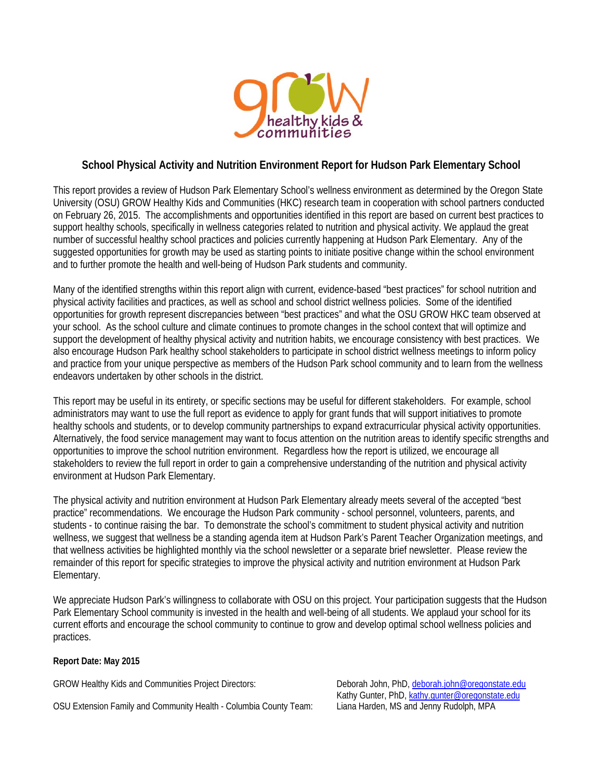

#### **School Physical Activity and Nutrition Environment Report for Hudson Park Elementary School**

This report provides a review of Hudson Park Elementary School's wellness environment as determined by the Oregon State University (OSU) GROW Healthy Kids and Communities (HKC) research team in cooperation with school partners conducted on February 26, 2015. The accomplishments and opportunities identified in this report are based on current best practices to support healthy schools, specifically in wellness categories related to nutrition and physical activity. We applaud the great number of successful healthy school practices and policies currently happening at Hudson Park Elementary. Any of the suggested opportunities for growth may be used as starting points to initiate positive change within the school environment and to further promote the health and well-being of Hudson Park students and community.

Many of the identified strengths within this report align with current, evidence-based "best practices" for school nutrition and physical activity facilities and practices, as well as school and school district wellness policies. Some of the identified opportunities for growth represent discrepancies between "best practices" and what the OSU GROW HKC team observed at your school. As the school culture and climate continues to promote changes in the school context that will optimize and support the development of healthy physical activity and nutrition habits, we encourage consistency with best practices. We also encourage Hudson Park healthy school stakeholders to participate in school district wellness meetings to inform policy and practice from your unique perspective as members of the Hudson Park school community and to learn from the wellness endeavors undertaken by other schools in the district.

This report may be useful in its entirety, or specific sections may be useful for different stakeholders. For example, school administrators may want to use the full report as evidence to apply for grant funds that will support initiatives to promote healthy schools and students, or to develop community partnerships to expand extracurricular physical activity opportunities. Alternatively, the food service management may want to focus attention on the nutrition areas to identify specific strengths and opportunities to improve the school nutrition environment. Regardless how the report is utilized, we encourage all stakeholders to review the full report in order to gain a comprehensive understanding of the nutrition and physical activity environment at Hudson Park Elementary.

The physical activity and nutrition environment at Hudson Park Elementary already meets several of the accepted "best practice" recommendations. We encourage the Hudson Park community - school personnel, volunteers, parents, and students - to continue raising the bar. To demonstrate the school's commitment to student physical activity and nutrition wellness, we suggest that wellness be a standing agenda item at Hudson Park's Parent Teacher Organization meetings, and that wellness activities be highlighted monthly via the school newsletter or a separate brief newsletter. Please review the remainder of this report for specific strategies to improve the physical activity and nutrition environment at Hudson Park Elementary.

We appreciate Hudson Park's willingness to collaborate with OSU on this project. Your participation suggests that the Hudson Park Elementary School community is invested in the health and well-being of all students. We applaud your school for its current efforts and encourage the school community to continue to grow and develop optimal school wellness policies and practices.

#### **Report Date: May 2015**

GROW Healthy Kids and Communities Project Directors: Deborah John, PhD, deborah.john@oregonstate.edu

OSU Extension Family and Community Health - Columbia County Team: Liana Harden, MS and Jenny Rudolph, MPA

Kathy Gunter, PhD, kathy.gunter@oregonstate.edu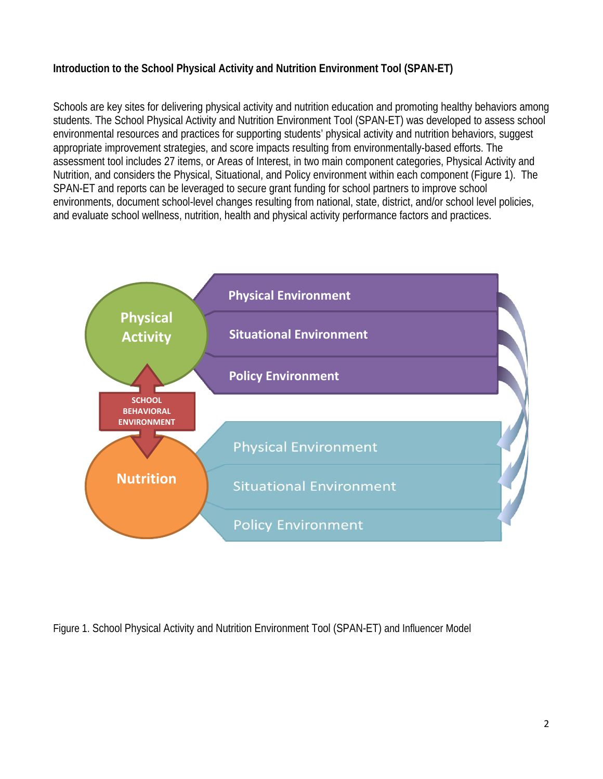## **Introduction to the School Physical Activity and Nutrition Environment Tool (SPAN-ET)**

Schools are key sites for delivering physical activity and nutrition education and promoting healthy behaviors among students. The School Physical Activity and Nutrition Environment Tool (SPAN-ET) was developed to assess school environmental resources and practices for supporting students' physical activity and nutrition behaviors, suggest appropriate improvement strategies, and score impacts resulting from environmentally-based efforts. The assessment tool includes 27 items, or Areas of Interest, in two main component categories, Physical Activity and Nutrition, and considers the Physical, Situational, and Policy environment within each component (Figure 1). The SPAN-ET and reports can be leveraged to secure grant funding for school partners to improve school environments, document school-level changes resulting from national, state, district, and/or school level policies, and evaluate school wellness, nutrition, health and physical activity performance factors and practices.



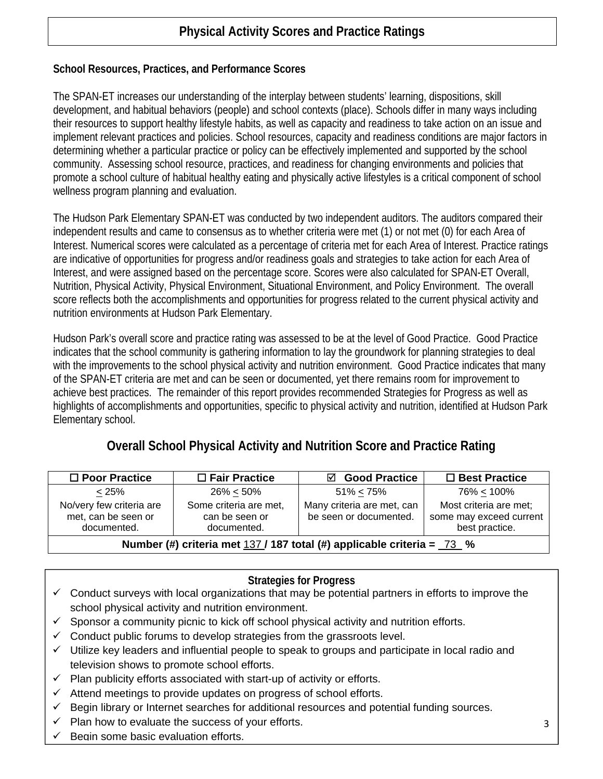# **Physical Activity Scores and Practice Ratings**

### **School Resources, Practices, and Performance Scores**

The SPAN-ET increases our understanding of the interplay between students' learning, dispositions, skill development, and habitual behaviors (people) and school contexts (place). Schools differ in many ways including their resources to support healthy lifestyle habits, as well as capacity and readiness to take action on an issue and implement relevant practices and policies. School resources, capacity and readiness conditions are major factors in determining whether a particular practice or policy can be effectively implemented and supported by the school community. Assessing school resource, practices, and readiness for changing environments and policies that promote a school culture of habitual healthy eating and physically active lifestyles is a critical component of school wellness program planning and evaluation.

The Hudson Park Elementary SPAN-ET was conducted by two independent auditors. The auditors compared their independent results and came to consensus as to whether criteria were met (1) or not met (0) for each Area of Interest. Numerical scores were calculated as a percentage of criteria met for each Area of Interest. Practice ratings are indicative of opportunities for progress and/or readiness goals and strategies to take action for each Area of Interest, and were assigned based on the percentage score. Scores were also calculated for SPAN-ET Overall, Nutrition, Physical Activity, Physical Environment, Situational Environment, and Policy Environment. The overall score reflects both the accomplishments and opportunities for progress related to the current physical activity and nutrition environments at Hudson Park Elementary.

Hudson Park's overall score and practice rating was assessed to be at the level of Good Practice. Good Practice indicates that the school community is gathering information to lay the groundwork for planning strategies to deal with the improvements to the school physical activity and nutrition environment. Good Practice indicates that many of the SPAN-ET criteria are met and can be seen or documented, yet there remains room for improvement to achieve best practices. The remainder of this report provides recommended Strategies for Progress as well as highlights of accomplishments and opportunities, specific to physical activity and nutrition, identified at Hudson Park Elementary school.

## **Overall School Physical Activity and Nutrition Score and Practice Rating**

| $\Box$ Poor Practice                                                      | $\Box$ Fair Practice                                    | ☑ Good Practice                                      | $\Box$ Best Practice                                                |  |  |
|---------------------------------------------------------------------------|---------------------------------------------------------|------------------------------------------------------|---------------------------------------------------------------------|--|--|
| < 25%                                                                     | $26\% < 50\%$                                           | $51\% < 75\%$                                        | $76\% < 100\%$                                                      |  |  |
| No/very few criteria are<br>met, can be seen or<br>documented.            | Some criteria are met,<br>can be seen or<br>documented. | Many criteria are met, can<br>be seen or documented. | Most criteria are met;<br>some may exceed current<br>best practice. |  |  |
| Number (#) criteria met $137/187$ total (#) applicable criteria = $73/96$ |                                                         |                                                      |                                                                     |  |  |

#### **Strategies for Progress**

- $\checkmark$  Conduct surveys with local organizations that may be potential partners in efforts to improve the school physical activity and nutrition environment.
- $\checkmark$  Sponsor a community picnic to kick off school physical activity and nutrition efforts.
- $\checkmark$  Conduct public forums to develop strategies from the grassroots level.
- $\checkmark$  Utilize key leaders and influential people to speak to groups and participate in local radio and television shows to promote school efforts.
- $\checkmark$  Plan publicity efforts associated with start-up of activity or efforts.
- $\checkmark$  Attend meetings to provide updates on progress of school efforts.
- $\checkmark$  Begin library or Internet searches for additional resources and potential funding sources.
- $\checkmark$  Plan how to evaluate the success of your efforts.
- Begin some basic evaluation efforts.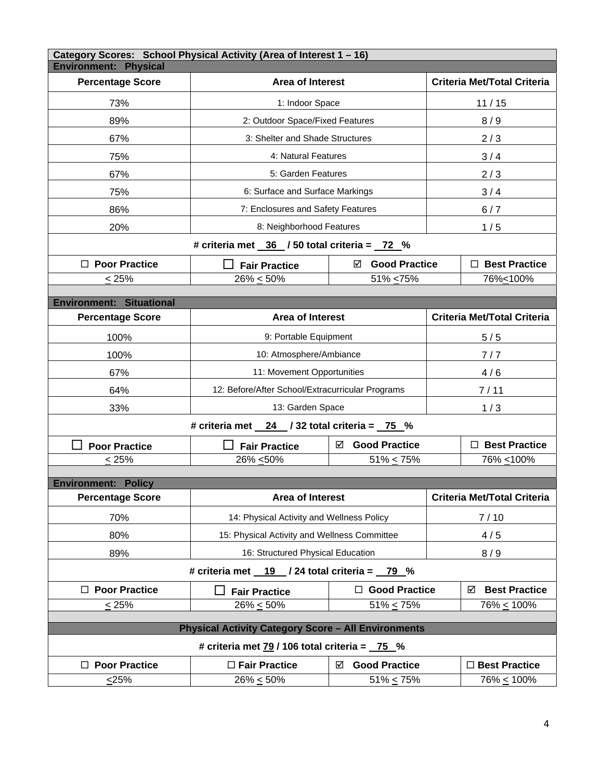| Category Scores: School Physical Activity (Area of Interest 1 - 16)<br><b>Environment: Physical</b> |                                                  |                                              |                                    |                                    |  |  |  |  |
|-----------------------------------------------------------------------------------------------------|--------------------------------------------------|----------------------------------------------|------------------------------------|------------------------------------|--|--|--|--|
| <b>Percentage Score</b>                                                                             | <b>Area of Interest</b>                          |                                              | <b>Criteria Met/Total Criteria</b> |                                    |  |  |  |  |
| 73%                                                                                                 | 1: Indoor Space                                  |                                              | 11/15                              |                                    |  |  |  |  |
| 89%                                                                                                 | 2: Outdoor Space/Fixed Features                  |                                              | 8/9                                |                                    |  |  |  |  |
| 67%                                                                                                 | 3: Shelter and Shade Structures                  |                                              |                                    | 2/3                                |  |  |  |  |
| 75%                                                                                                 | 4: Natural Features                              |                                              | 3/4                                |                                    |  |  |  |  |
| 67%                                                                                                 | 5: Garden Features                               |                                              |                                    | 2/3                                |  |  |  |  |
| 75%                                                                                                 | 6: Surface and Surface Markings                  |                                              |                                    | 3/4                                |  |  |  |  |
| 86%                                                                                                 | 7: Enclosures and Safety Features                |                                              | 6/7                                |                                    |  |  |  |  |
| 20%                                                                                                 | 8: Neighborhood Features                         |                                              | 1/5                                |                                    |  |  |  |  |
|                                                                                                     | # criteria met $36$ / 50 total criteria = $72$ % |                                              |                                    |                                    |  |  |  |  |
| $\Box$ Poor Practice                                                                                | <b>Fair Practice</b>                             | ☑ Good Practice                              |                                    | $\Box$ Best Practice               |  |  |  |  |
| $\leq$ 25%                                                                                          | $26\% \le 50\%$                                  | 51% <75%                                     | 76%<100%                           |                                    |  |  |  |  |
| <b>Environment: Situational</b>                                                                     |                                                  |                                              |                                    |                                    |  |  |  |  |
| <b>Percentage Score</b>                                                                             | Area of Interest                                 |                                              |                                    | <b>Criteria Met/Total Criteria</b> |  |  |  |  |
| 100%                                                                                                | 9: Portable Equipment                            |                                              | 5/5                                |                                    |  |  |  |  |
| 100%                                                                                                | 10: Atmosphere/Ambiance                          |                                              |                                    | 7/7                                |  |  |  |  |
| 67%                                                                                                 | 11: Movement Opportunities                       |                                              | 4/6                                |                                    |  |  |  |  |
| 64%                                                                                                 | 12: Before/After School/Extracurricular Programs |                                              | 7/11                               |                                    |  |  |  |  |
| 33%                                                                                                 | 13: Garden Space                                 |                                              | 1/3                                |                                    |  |  |  |  |
| # criteria met $24$ / 32 total criteria = $75\%$                                                    |                                                  |                                              |                                    |                                    |  |  |  |  |
| <b>Poor Practice</b>                                                                                | <b>Fair Practice</b>                             | <b>Good Practice</b><br>☑                    |                                    | $\Box$ Best Practice               |  |  |  |  |
| $\leq 25\%$                                                                                         | 26% <50%                                         | $51\% < 75\%$                                |                                    | 76% ≤100%                          |  |  |  |  |
| <b>Environment: Policy</b>                                                                          |                                                  |                                              |                                    |                                    |  |  |  |  |
| <b>Percentage Score</b>                                                                             | <b>Area of Interest</b>                          |                                              | Criteria Met/Total Criteria        |                                    |  |  |  |  |
| 70%                                                                                                 | 14: Physical Activity and Wellness Policy        |                                              | 7/10                               |                                    |  |  |  |  |
| 80%                                                                                                 | 15: Physical Activity and Wellness Committee     |                                              | 4/5                                |                                    |  |  |  |  |
| 89%                                                                                                 | 16: Structured Physical Education                |                                              |                                    | 8/9                                |  |  |  |  |
|                                                                                                     | # criteria met 19 / 24 total criteria = 79 %     |                                              |                                    |                                    |  |  |  |  |
| $\Box$ Poor Practice                                                                                | <b>Fair Practice</b>                             | $\Box$ Good Practice                         |                                    | <b>Best Practice</b><br>☑          |  |  |  |  |
| < 25%                                                                                               | $26\% \le 50\%$                                  | $51\% < 75\%$                                |                                    | 76% < 100%                         |  |  |  |  |
| <b>Physical Activity Category Score - All Environments</b>                                          |                                                  |                                              |                                    |                                    |  |  |  |  |
| # criteria met $\frac{79}{106}$ total criteria = $\frac{75}{106}$ %                                 |                                                  |                                              |                                    |                                    |  |  |  |  |
| $\Box$ Poor Practice                                                                                | □ Fair Practice                                  | <b>Good Practice</b><br>□ Best Practice<br>☑ |                                    |                                    |  |  |  |  |
| $<$ 25%                                                                                             | $26\% \le 50\%$                                  | $51\% \le 75\%$<br>76% <u>&lt;</u> 100%      |                                    |                                    |  |  |  |  |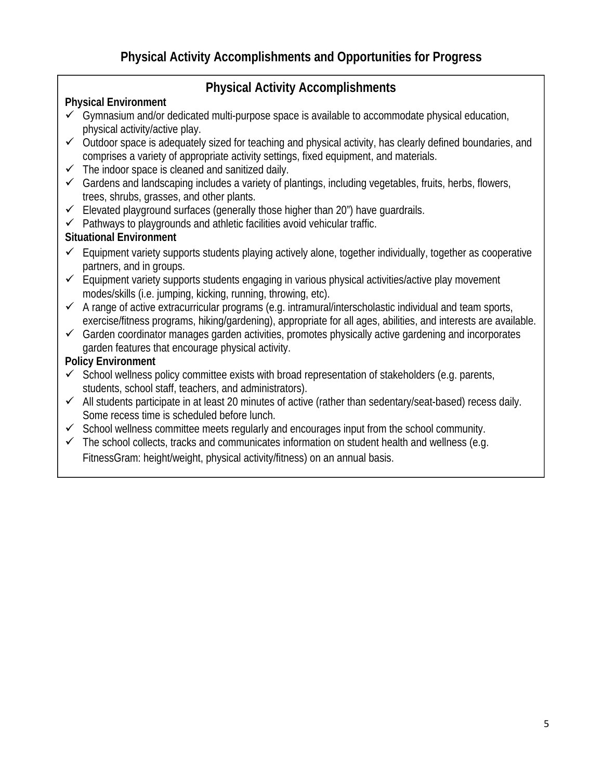# **Physical Activity Accomplishments**

## **Physical Environment**

- $\checkmark$  Gymnasium and/or dedicated multi-purpose space is available to accommodate physical education, physical activity/active play.
- $\checkmark$  Outdoor space is adequately sized for teaching and physical activity, has clearly defined boundaries, and comprises a variety of appropriate activity settings, fixed equipment, and materials.
- $\checkmark$  The indoor space is cleaned and sanitized daily.
- $\checkmark$  Gardens and landscaping includes a variety of plantings, including vegetables, fruits, herbs, flowers, trees, shrubs, grasses, and other plants.
- $\checkmark$  Elevated playground surfaces (generally those higher than 20") have quardrails.
- $\checkmark$  Pathways to playgrounds and athletic facilities avoid vehicular traffic.

## **Situational Environment**

- $\checkmark$  Equipment variety supports students playing actively alone, together individually, together as cooperative partners, and in groups.
- $\checkmark$  Equipment variety supports students engaging in various physical activities/active play movement modes/skills (i.e. jumping, kicking, running, throwing, etc).
- $\checkmark$  A range of active extracurricular programs (e.g. intramural/interscholastic individual and team sports, exercise/fitness programs, hiking/gardening), appropriate for all ages, abilities, and interests are available.
- $\checkmark$  Garden coordinator manages garden activities, promotes physically active gardening and incorporates garden features that encourage physical activity.

- $\checkmark$  School wellness policy committee exists with broad representation of stakeholders (e.g. parents, students, school staff, teachers, and administrators).
- $\checkmark$  All students participate in at least 20 minutes of active (rather than sedentary/seat-based) recess daily. Some recess time is scheduled before lunch.
- $\checkmark$  School wellness committee meets regularly and encourages input from the school community.
- $\checkmark$  The school collects, tracks and communicates information on student health and wellness (e.g. FitnessGram: height/weight, physical activity/fitness) on an annual basis.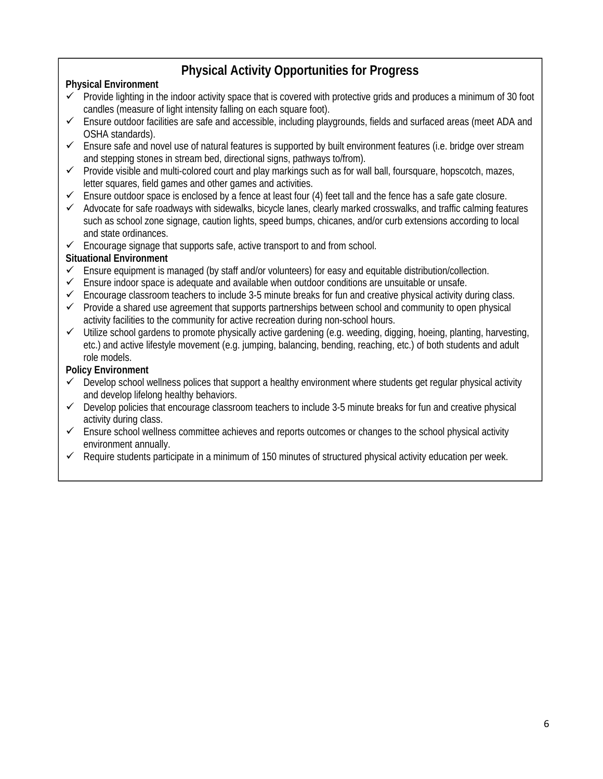# **Physical Activity Opportunities for Progress**

### **Physical Environment**

- $\checkmark$  Provide lighting in the indoor activity space that is covered with protective grids and produces a minimum of 30 foot candles (measure of light intensity falling on each square foot).
- $\checkmark$  Ensure outdoor facilities are safe and accessible, including playgrounds, fields and surfaced areas (meet ADA and OSHA standards).
- $\checkmark$  Ensure safe and novel use of natural features is supported by built environment features (i.e. bridge over stream and stepping stones in stream bed, directional signs, pathways to/from).
- $\checkmark$  Provide visible and multi-colored court and play markings such as for wall ball, foursquare, hopscotch, mazes, letter squares, field games and other games and activities.
- $\checkmark$  Ensure outdoor space is enclosed by a fence at least four (4) feet tall and the fence has a safe gate closure.
- $\checkmark$  Advocate for safe roadways with sidewalks, bicycle lanes, clearly marked crosswalks, and traffic calming features such as school zone signage, caution lights, speed bumps, chicanes, and/or curb extensions according to local and state ordinances.
- $\checkmark$  Encourage signage that supports safe, active transport to and from school.

#### **Situational Environment**

- $\checkmark$  Ensure equipment is managed (by staff and/or volunteers) for easy and equitable distribution/collection.
- $\checkmark$  Ensure indoor space is adequate and available when outdoor conditions are unsuitable or unsafe.
- $\checkmark$  Encourage classroom teachers to include 3-5 minute breaks for fun and creative physical activity during class.
- $\checkmark$  Provide a shared use agreement that supports partnerships between school and community to open physical activity facilities to the community for active recreation during non-school hours.
- $\checkmark$  Utilize school gardens to promote physically active gardening (e.g. weeding, digging, hoeing, planting, harvesting, etc.) and active lifestyle movement (e.g. jumping, balancing, bending, reaching, etc.) of both students and adult role models.

- Develop school wellness polices that support a healthy environment where students get regular physical activity and develop lifelong healthy behaviors.
- $\checkmark$  Develop policies that encourage classroom teachers to include 3-5 minute breaks for fun and creative physical activity during class. activity during class.
- $\checkmark$  Ensure school wellness committee achieves and reports outcomes or changes to the school physical activity environment annually.
- $\checkmark$  Require students participate in a minimum of 150 minutes of structured physical activity education per week.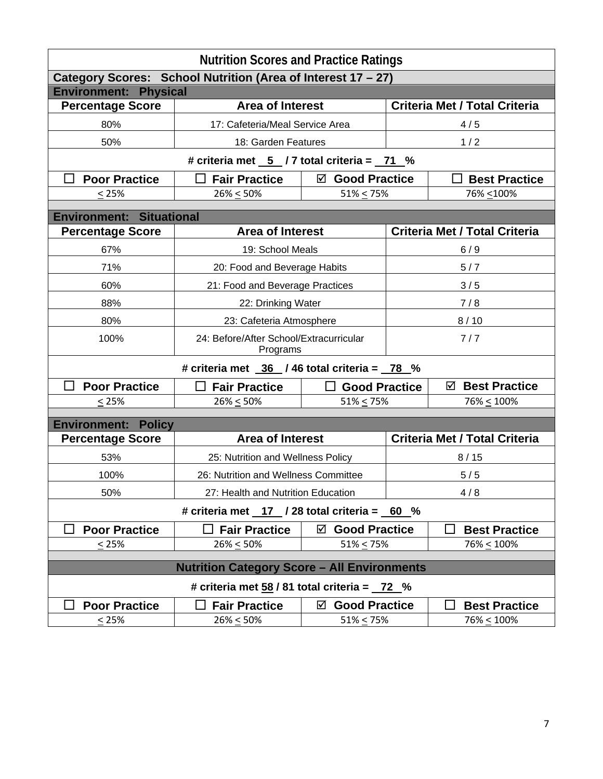| <b>Nutrition Scores and Practice Ratings</b>                           |                                                                           |                                         |                                      |                                      |  |  |  |  |
|------------------------------------------------------------------------|---------------------------------------------------------------------------|-----------------------------------------|--------------------------------------|--------------------------------------|--|--|--|--|
| Category Scores: School Nutrition (Area of Interest 17 - 27)           |                                                                           |                                         |                                      |                                      |  |  |  |  |
| <b>Environment: Physical</b>                                           |                                                                           |                                         |                                      |                                      |  |  |  |  |
| <b>Percentage Score</b>                                                | <b>Area of Interest</b>                                                   |                                         | <b>Criteria Met / Total Criteria</b> |                                      |  |  |  |  |
| 80%                                                                    | 17: Cafeteria/Meal Service Area                                           |                                         | 4/5                                  |                                      |  |  |  |  |
| 50%                                                                    | 18: Garden Features                                                       |                                         | 1/2                                  |                                      |  |  |  |  |
| # criteria met $\overline{5}$ / 7 total criteria = $\overline{71}$ %   |                                                                           |                                         |                                      |                                      |  |  |  |  |
| <b>Poor Practice</b>                                                   | <b>Fair Practice</b>                                                      | ☑ Good Practice<br><b>Best Practice</b> |                                      |                                      |  |  |  |  |
| < 25%                                                                  | $26\% \le 50\%$                                                           | $51\% < 75\%$                           | 76% <200%                            |                                      |  |  |  |  |
|                                                                        |                                                                           |                                         |                                      |                                      |  |  |  |  |
| <b>Environment: Situational</b>                                        |                                                                           |                                         |                                      |                                      |  |  |  |  |
| <b>Percentage Score</b>                                                | <b>Area of Interest</b>                                                   |                                         |                                      | <b>Criteria Met / Total Criteria</b> |  |  |  |  |
| 67%                                                                    | 19: School Meals                                                          |                                         |                                      | 6/9                                  |  |  |  |  |
| 71%                                                                    | 20: Food and Beverage Habits                                              | 5/7                                     |                                      |                                      |  |  |  |  |
| 60%                                                                    | 21: Food and Beverage Practices                                           |                                         | 3/5                                  |                                      |  |  |  |  |
| 88%                                                                    |                                                                           | 7/8<br>22: Drinking Water               |                                      |                                      |  |  |  |  |
| 80%                                                                    | 23: Cafeteria Atmosphere                                                  |                                         | 8/10                                 |                                      |  |  |  |  |
| 100%                                                                   | Programs                                                                  | 24: Before/After School/Extracurricular |                                      | 7/7                                  |  |  |  |  |
| # criteria met $\frac{36}{16}$ / 46 total criteria = $\frac{78}{16}$ % |                                                                           |                                         |                                      |                                      |  |  |  |  |
| <b>Poor Practice</b>                                                   | <b>Fair Practice</b>                                                      | $\Box$ Good Practice                    |                                      | <b>Best Practice</b><br>☑            |  |  |  |  |
| $\leq$ 25%                                                             | $26\% \le 50\%$                                                           | $51\% \le 75\%$                         |                                      | $76\% \le 100\%$                     |  |  |  |  |
| <b>Environment:</b><br><b>Policy</b>                                   |                                                                           |                                         |                                      |                                      |  |  |  |  |
| <b>Percentage Score</b>                                                | <b>Area of Interest</b>                                                   |                                         | <b>Criteria Met / Total Criteria</b> |                                      |  |  |  |  |
| 53%                                                                    |                                                                           |                                         |                                      |                                      |  |  |  |  |
| 100%                                                                   | 25: Nutrition and Wellness Policy<br>26: Nutrition and Wellness Committee | 8/15<br>5/5                             |                                      |                                      |  |  |  |  |
| 50%                                                                    | 27: Health and Nutrition Education                                        |                                         |                                      | 4/8                                  |  |  |  |  |
|                                                                        |                                                                           |                                         |                                      |                                      |  |  |  |  |
| # criteria met $17$ / 28 total criteria = 60 %                         |                                                                           |                                         |                                      |                                      |  |  |  |  |
| <b>Poor Practice</b>                                                   | <b>Fair Practice</b>                                                      | <b>Good Practice</b><br>☑               |                                      | <b>Best Practice</b>                 |  |  |  |  |
| < 25%                                                                  | $26\% \le 50\%$                                                           | $51\% \le 75\%$                         |                                      | $76\% \le 100\%$                     |  |  |  |  |
| <b>Nutrition Category Score - All Environments</b>                     |                                                                           |                                         |                                      |                                      |  |  |  |  |
| # criteria met $58/81$ total criteria = $72\%$                         |                                                                           |                                         |                                      |                                      |  |  |  |  |
| <b>Poor Practice</b>                                                   | <b>Fair Practice</b>                                                      | <b>Good Practice</b><br>☑               |                                      | <b>Best Practice</b>                 |  |  |  |  |
| $\leq$ 25%                                                             | $26\% \le 50\%$                                                           | $51\% \le 75\%$                         |                                      | $76\% \le 100\%$                     |  |  |  |  |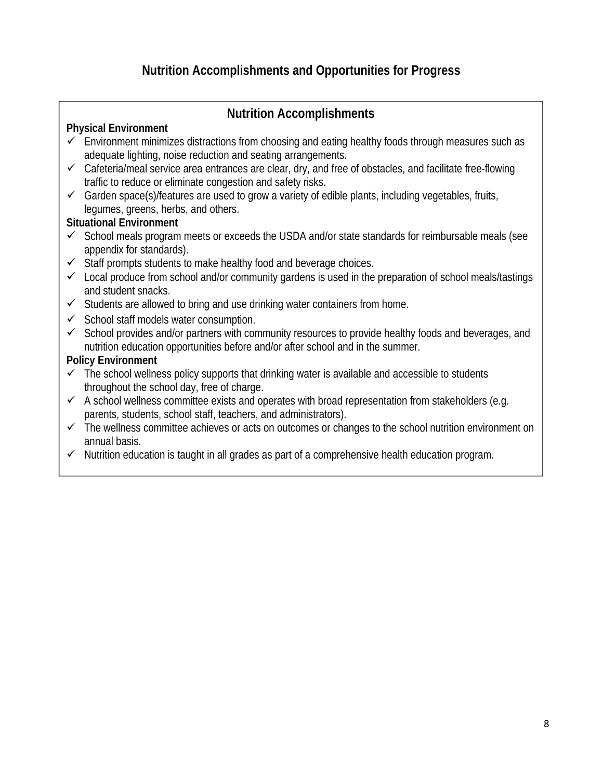## **Nutrition Accomplishments**

### **Physical Environment**

- $\checkmark$  Environment minimizes distractions from choosing and eating healthy foods through measures such as adequate lighting, noise reduction and seating arrangements.
- $\checkmark$  Cafeteria/meal service area entrances are clear, dry, and free of obstacles, and facilitate free-flowing traffic to reduce or eliminate congestion and safety risks.
- $\checkmark$  Garden space(s)/features are used to grow a variety of edible plants, including vegetables, fruits, legumes, greens, herbs, and others.

### **Situational Environment**

- $\checkmark$  School meals program meets or exceeds the USDA and/or state standards for reimbursable meals (see appendix for standards).
- $\checkmark$  Staff prompts students to make healthy food and beverage choices.
- $\checkmark$  Local produce from school and/or community gardens is used in the preparation of school meals/tastings and student snacks.
- $\checkmark$  Students are allowed to bring and use drinking water containers from home.
- $\checkmark$  School staff models water consumption.
- $\checkmark$  School provides and/or partners with community resources to provide healthy foods and beverages, and nutrition education opportunities before and/or after school and in the summer.

- $\checkmark$  The school wellness policy supports that drinking water is available and accessible to students throughout the school day, free of charge.
- $\checkmark$  A school wellness committee exists and operates with broad representation from stakeholders (e.g. parents, students, school staff, teachers, and administrators).
- $\checkmark$  The wellness committee achieves or acts on outcomes or changes to the school nutrition environment on annual basis.
- $\checkmark$  Nutrition education is taught in all grades as part of a comprehensive health education program.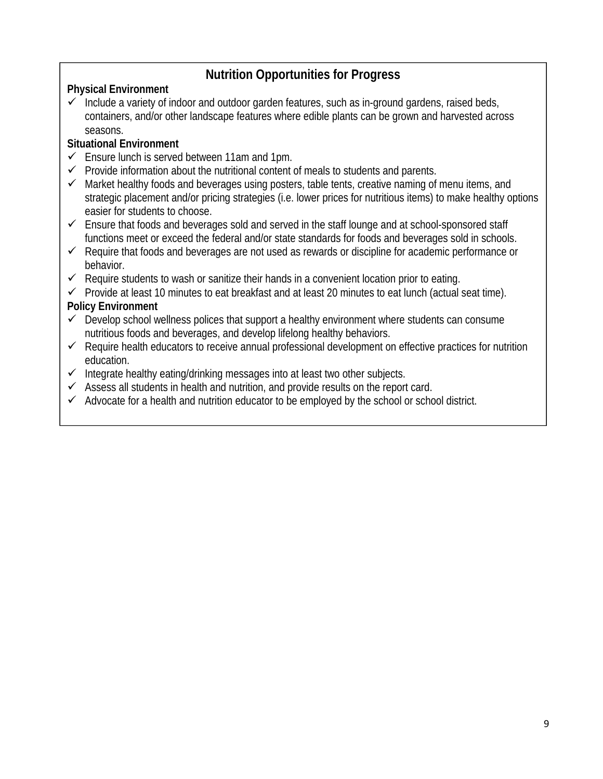# **Nutrition Opportunities for Progress**

## **Physical Environment**

 $\checkmark$  Include a variety of indoor and outdoor garden features, such as in-ground gardens, raised beds, containers, and/or other landscape features where edible plants can be grown and harvested across seasons.

## **Situational Environment**

- $\checkmark$  Ensure lunch is served between 11am and 1pm.
- $\checkmark$  Provide information about the nutritional content of meals to students and parents.
- $\checkmark$  Market healthy foods and beverages using posters, table tents, creative naming of menu items, and strategic placement and/or pricing strategies (i.e. lower prices for nutritious items) to make healthy options easier for students to choose.
- $\checkmark$  Ensure that foods and beverages sold and served in the staff lounge and at school-sponsored staff functions meet or exceed the federal and/or state standards for foods and beverages sold in schools.
- $\checkmark$  Require that foods and beverages are not used as rewards or discipline for academic performance or behavior.
- $\checkmark$  Require students to wash or sanitize their hands in a convenient location prior to eating.
- $\checkmark$  Provide at least 10 minutes to eat breakfast and at least 20 minutes to eat lunch (actual seat time).

- $\checkmark$  Develop school wellness polices that support a healthy environment where students can consume nutritious foods and beverages, and develop lifelong healthy behaviors.
- $\checkmark$  Require health educators to receive annual professional development on effective practices for nutrition education.
- $\checkmark$  Integrate healthy eating/drinking messages into at least two other subjects.
- $\checkmark$  Assess all students in health and nutrition, and provide results on the report card.
- $\checkmark$  Advocate for a health and nutrition educator to be employed by the school or school district.